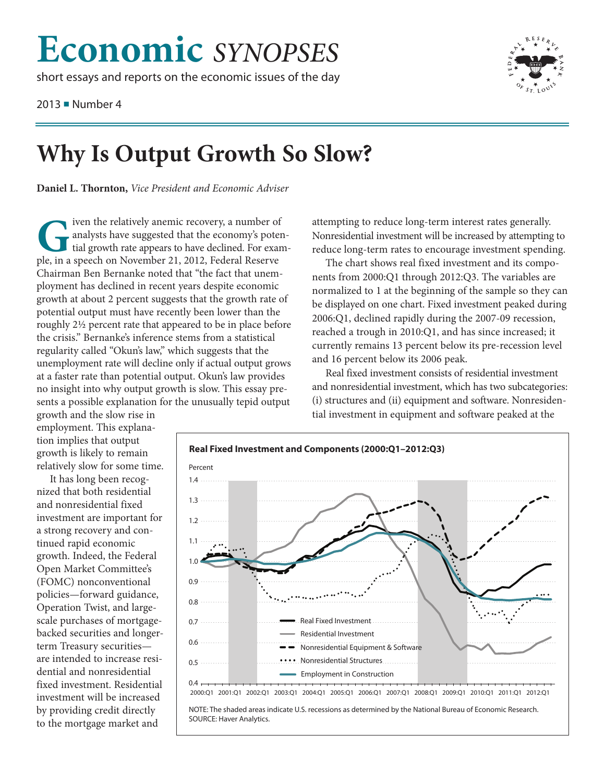## **Economic** SYNOPSES

short essays and reports on the economic issues of the day

2013 • Number 4



## **Why Is Output Growth So Slow?**

Daniel L. Thornton, Vice President and Economic Adviser

iven the relatively anemic recovery, a number of analysts have suggested that the economy's potential growth rate appears to have declined. For example, in a speech on November 21, 2012, Federal Reserve Chairman Ben Bernanke noted that "the fact that unemployment has declined in recent years despite economic growth at about 2 percent suggests that the growth rate of potential output must have recently been lower than the roughly 2½ percent rate that appeared to be in place before the crisis." Bernanke's inference stems from a statistical regularity called "Okun's law," which suggests that the unemployment rate will decline only if actual output grows at a faster rate than potential output. Okun's law provides no insight into why output growth is slow. This essay presents a possible explanation for the unusually tepid output

attempting to reduce long-term interest rates generally. Nonresidential investment will be increased by attempting to reduce long-term rates to encourage investment spending.

The chart shows real fixed investment and its components from 2000:Q1 through 2012:Q3. The variables are normalized to 1 at the beginning of the sample so they can be displayed on one chart. Fixed investment peaked during 2006:Q1, declined rapidly during the 2007-09 recession, reached a trough in 2010:Q1, and has since increased; it currently remains 13 percent below its pre-recession level and 16 percent below its 2006 peak.

Real fixed investment consists of residential investment and nonresidential investment, which has two subcategories: (i) structures and (ii) equipment and software. Nonresidential investment in equipment and software peaked at the

growth and the slow rise in employment. This explanation implies that output growth is likely to remain relatively slow for some time.

It has long been recognized that both residential and nonresidential fixed investment are important for a strong recovery and continued rapid economic growth. Indeed, the Federal Open Market Committee's (FOMC) nonconventional policies-forward guidance, Operation Twist, and largescale purchases of mortgagebacked securities and longerterm Treasury securitiesare intended to increase residential and nonresidential fixed investment. Residential investment will be increased by providing credit directly to the mortgage market and



NOTE: The shaded areas indicate U.S. recessions as determined by the National Bureau of Economic Research. SOURCE: Haver Analytics.